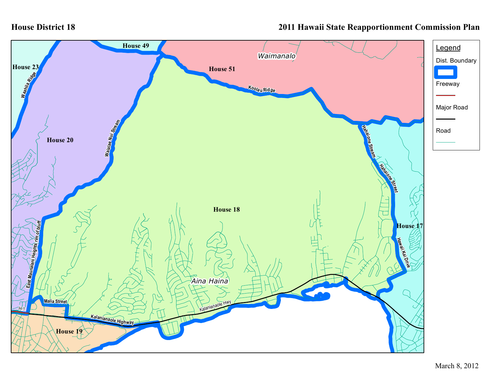## **House District 18**

## **2011 Hawaii State Reapportionment Commission Plan**